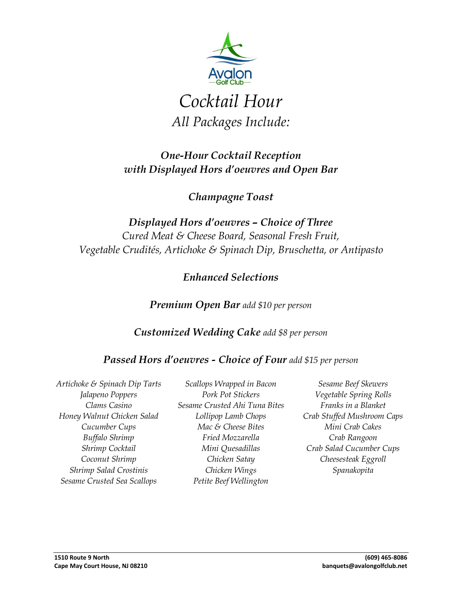

# *Cocktail Hour All Packages Include:*

### *One-Hour Cocktail Reception with Displayed Hors d'oeuvres and Open Bar*

*Champagne Toast*

*Displayed Hors d'oeuvres – Choice of Three Cured Meat & Cheese Board, Seasonal Fresh Fruit, Vegetable Crudités, Artichoke & Spinach Dip, Bruschetta, or Antipasto*

*Enhanced Selections*

*Premium Open Bar add \$10 per person*

*Customized Wedding Cake add \$8 per person*

#### *Passed Hors d'oeuvres - Choice of Four add \$15 per person*

*Artichoke & Spinach Dip Tarts Jalapeno Poppers Clams Casino Honey Walnut Chicken Salad Cucumber Cups Buffalo Shrimp Shrimp Cocktail Coconut Shrimp Shrimp Salad Crostinis Sesame Crusted Sea Scallops*

*Scallops Wrapped in Bacon Pork Pot Stickers Sesame Crusted Ahi Tuna Bites Lollipop Lamb Chops Mac & Cheese Bites Fried Mozzarella Mini Quesadillas Chicken Satay Chicken Wings Petite Beef Wellington*

*Sesame Beef Skewers Vegetable Spring Rolls Franks in a Blanket Crab Stuffed Mushroom Caps Mini Crab Cakes Crab Rangoon Crab Salad Cucumber Cups Cheesesteak Eggroll Spanakopita*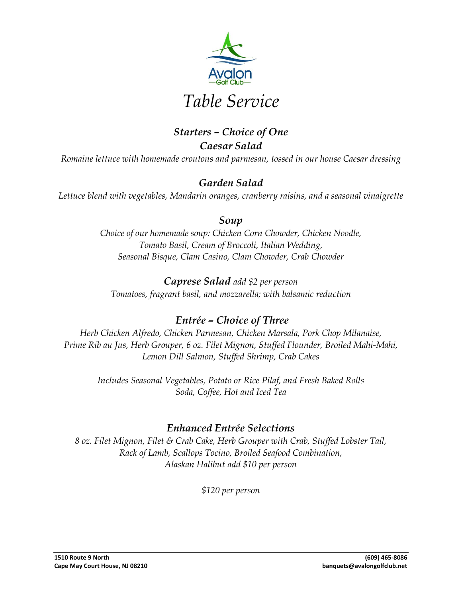

#### *Starters – Choice of One Caesar Salad*

*Romaine lettuce with homemade croutons and parmesan, tossed in our house Caesar dressing*

#### *Garden Salad*

*Lettuce blend with vegetables, Mandarin oranges, cranberry raisins, and a seasonal vinaigrette*

#### *Soup*

*Choice of our homemade soup: Chicken Corn Chowder, Chicken Noodle, Tomato Basil, Cream of Broccoli, Italian Wedding, Seasonal Bisque, Clam Casino, Clam Chowder, Crab Chowder*

#### *Caprese Salad add \$2 per person Tomatoes, fragrant basil, and mozzarella; with balsamic reduction*

### *Entrée – Choice of Three*

*Herb Chicken Alfredo, Chicken Parmesan, Chicken Marsala, Pork Chop Milanaise, Prime Rib au Jus, Herb Grouper, 6 oz. Filet Mignon, Stuffed Flounder, Broiled Mahi-Mahi, Lemon Dill Salmon, Stuffed Shrimp, Crab Cakes*

*Includes Seasonal Vegetables, Potato or Rice Pilaf, and Fresh Baked Rolls Soda, Coffee, Hot and Iced Tea*

#### *Enhanced Entrée Selections*

*8 oz. Filet Mignon, Filet & Crab Cake, Herb Grouper with Crab, Stuffed Lobster Tail, Rack of Lamb, Scallops Tocino, Broiled Seafood Combination, Alaskan Halibut add \$10 per person*

*\$120 per person*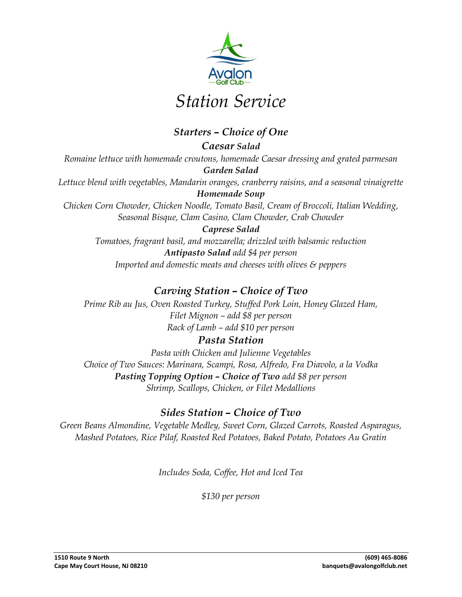

# *Station Service*

#### *Starters – Choice of One*

*Caesar Salad Romaine lettuce with homemade croutons, homemade Caesar dressing and grated parmesan Garden Salad Lettuce blend with vegetables, Mandarin oranges, cranberry raisins, and a seasonal vinaigrette Homemade Soup*

*Chicken Corn Chowder, Chicken Noodle, Tomato Basil, Cream of Broccoli, Italian Wedding, Seasonal Bisque, Clam Casino, Clam Chowder, Crab Chowder*

*Caprese Salad Tomatoes, fragrant basil, and mozzarella; drizzled with balsamic reduction Antipasto Salad add \$4 per person Imported and domestic meats and cheeses with olives & peppers*

#### *Carving Station – Choice of Two*

*Prime Rib au Jus, Oven Roasted Turkey, Stuffed Pork Loin, Honey Glazed Ham, Filet Mignon – add \$8 per person Rack of Lamb – add \$10 per person*

#### *Pasta Station*

*Pasta with Chicken and Julienne Vegetables Choice of Two Sauces: Marinara, Scampi, Rosa, Alfredo, Fra Diavolo, a la Vodka Pasting Topping Option – Choice of Two add \$8 per person Shrimp, Scallops, Chicken, or Filet Medallions*

#### *Sides Station – Choice of Two*

*Green Beans Almondine, Vegetable Medley, Sweet Corn, Glazed Carrots, Roasted Asparagus, Mashed Potatoes, Rice Pilaf, Roasted Red Potatoes, Baked Potato, Potatoes Au Gratin*

*Includes Soda, Coffee, Hot and Iced Tea*

*\$130 per person*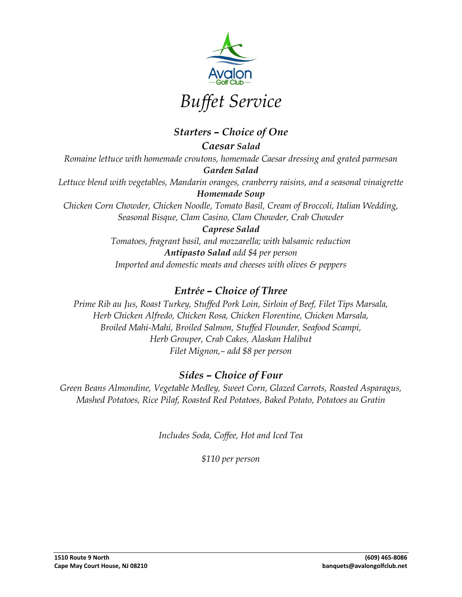

*Starters – Choice of One Caesar Salad Romaine lettuce with homemade croutons, homemade Caesar dressing and grated parmesan Garden Salad Lettuce blend with vegetables, Mandarin oranges, cranberry raisins, and a seasonal vinaigrette Homemade Soup Chicken Corn Chowder, Chicken Noodle, Tomato Basil, Cream of Broccoli, Italian Wedding, Seasonal Bisque, Clam Casino, Clam Chowder, Crab Chowder Caprese Salad Tomatoes, fragrant basil, and mozzarella; with balsamic reduction Antipasto Salad add \$4 per person*

*Imported and domestic meats and cheeses with olives & peppers*

#### *Entrée – Choice of Three*

*Prime Rib au Jus, Roast Turkey, Stuffed Pork Loin, Sirloin of Beef, Filet Tips Marsala, Herb Chicken Alfredo, Chicken Rosa, Chicken Florentine, Chicken Marsala, Broiled Mahi-Mahi, Broiled Salmon, Stuffed Flounder, Seafood Scampi, Herb Grouper, Crab Cakes, Alaskan Halibut Filet Mignon,– add \$8 per person*

#### *Sides – Choice of Four*

*Green Beans Almondine, Vegetable Medley, Sweet Corn, Glazed Carrots, Roasted Asparagus, Mashed Potatoes, Rice Pilaf, Roasted Red Potatoes, Baked Potato, Potatoes au Gratin*

*Includes Soda, Coffee, Hot and Iced Tea*

*\$110 per person*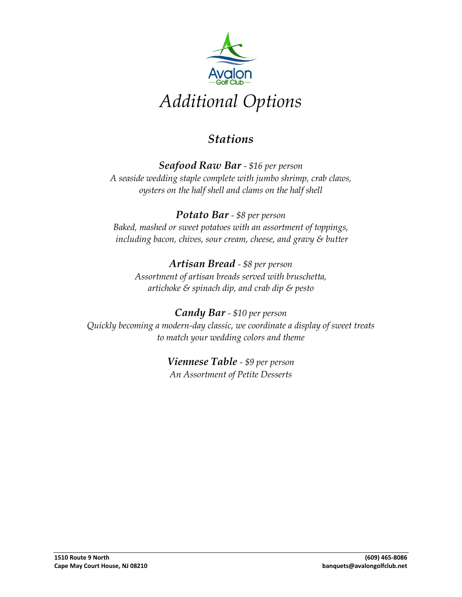

## *Stations*

#### *Seafood Raw Bar - \$16 per person A seaside wedding staple complete with jumbo shrimp, crab claws, oysters on the half shell and clams on the half shell*

#### *Potato Bar - \$8 per person Baked, mashed or sweet potatoes with an assortment of toppings, including bacon, chives, sour cream, cheese, and gravy & butter*

#### *Artisan Bread - \$8 per person Assortment of artisan breads served with bruschetta, artichoke & spinach dip, and crab dip & pesto*

#### *Candy Bar - \$10 per person Quickly becoming a modern-day classic, we coordinate a display of sweet treats to match your wedding colors and theme*

#### *Viennese Table - \$9 per person An Assortment of Petite Desserts*